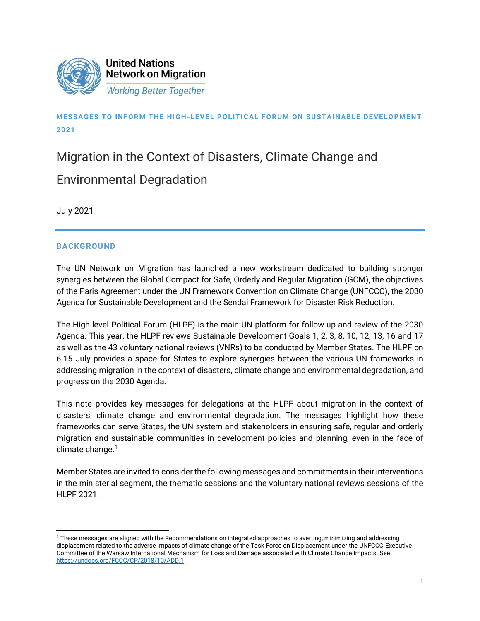

# **MESSA GES TO INFORM THE HIGH-LEVEL POLITICAL FORUM ON SUSTAINABLE DEVELOPMENT 2021**

# Migration in the Context of Disasters, Climate Change and Environmental Degradation

July 2021

## **BACKGROUND**

The UN Network on Migration has launched a new workstream dedicated to building stronger synergies between the Global Compact for Safe, Orderly and Regular Migration (GCM), the objectives of the Paris Agreement under the UN Framework Convention on Climate Change (UNFCCC), the 2030 Agenda for Sustainable Development and the Sendai Framework for Disaster Risk Reduction.

The High-level Political Forum (HLPF) is the main UN platform for follow-up and review of the 2030 Agenda. This year, the HLPF reviews Sustainable Development Goals 1, 2, 3, 8, 10, 12, 13, 16 and 17 as well as the 43 voluntary national reviews (VNRs) to be conducted by Member States. The HLPF on 6-15 July provides a space for States to explore synergies between the various UN frameworks in addressing migration in the context of disasters, climate change and environmental degradation, and progress on the 2030 Agenda.

This note provides key messages for delegations at the HLPF about migration in the context of disasters, climate change and environmental degradation. The messages highlight how these frameworks can serve States, the UN system and stakeholders in ensuring safe, regular and orderly migration and sustainable communities in development policies and planning, even in the face of climate change. 1

Member States are invited to consider the following messages and commitments in their interventions in the ministerial segment, the thematic sessions and the voluntary national reviews sessions of the HLPF 2021.

<sup>1</sup> These messages are aligned with the Recommendations on integrated approaches to averting, minimizing and addressing displacement related to the adverse impacts of climate change of the Task Force on Displacement under the UNFCCC Executive Committee of the Warsaw International Mechanism for Loss and Damage associated with Climate Change Impacts. See <https://undocs.org/FCCC/CP/2018/10/ADD.1>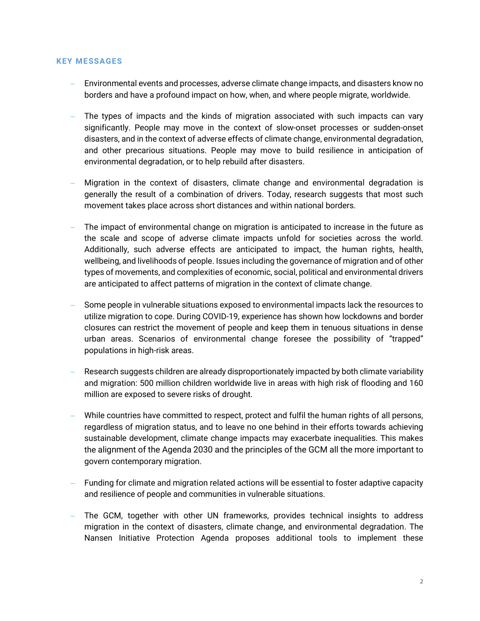#### **KEY MESSAGES**

- − Environmental events and processes, adverse climate change impacts, and disasters know no borders and have a profound impact on how, when, and where people migrate, worldwide.
- The types of impacts and the kinds of migration associated with such impacts can vary significantly. People may move in the context of slow-onset processes or sudden-onset disasters, and in the context of adverse effects of climate change, environmental degradation, and other precarious situations. People may move to build resilience in anticipation of environmental degradation, or to help rebuild after disasters.
- − Migration in the context of disasters, climate change and environmental degradation is generally the result of a combination of drivers. Today, research suggests that most such movement takes place across short distances and within national borders.
- The impact of environmental change on migration is anticipated to increase in the future as the scale and scope of adverse climate impacts unfold for societies across the world. Additionally, such adverse effects are anticipated to impact, the human rights, health, wellbeing, and livelihoods of people. Issues including the governance of migration and of other types of movements, and complexities of economic, social, political and environmental drivers are anticipated to affect patterns of migration in the context of climate change.
- Some people in vulnerable situations exposed to environmental impacts lack the resources to utilize migration to cope. During COVID-19, experience has shown how lockdowns and border closures can restrict the movement of people and keep them in tenuous situations in dense urban areas. Scenarios of environmental change foresee the possibility of "trapped" populations in high-risk areas.
- − Research suggests children are already disproportionately impacted by both climate variability and migration: 500 million children worldwide live in areas with high risk of flooding and 160 million are exposed to severe risks of drought.
- − While countries have committed to respect, protect and fulfil the human rights of all persons, regardless of migration status, and to leave no one behind in their efforts towards achieving sustainable development, climate change impacts may exacerbate inequalities. This makes the alignment of the Agenda 2030 and the principles of the GCM all the more important to govern contemporary migration.
- Funding for climate and migration related actions will be essential to foster adaptive capacity and resilience of people and communities in vulnerable situations.
- − The GCM, together with other UN frameworks, provides technical insights to address migration in the context of disasters, climate change, and environmental degradation. The Nansen Initiative Protection Agenda proposes additional tools to implement these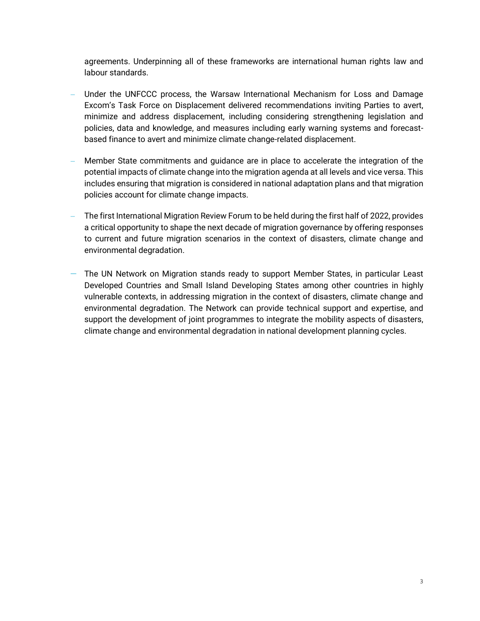agreements. Underpinning all of these frameworks are international human rights law and labour standards.

- Under the UNFCCC process, the Warsaw International Mechanism for Loss and Damage Excom's Task Force on Displacement delivered recommendations inviting Parties to avert, minimize and address displacement, including considering strengthening legislation and policies, data and knowledge, and measures including early warning systems and forecastbased finance to avert and minimize climate change-related displacement.
- − Member State commitments and guidance are in place to accelerate the integration of the potential impacts of climate change into the migration agenda at all levels and vice versa. This includes ensuring that migration is considered in national adaptation plans and that migration policies account for climate change impacts.
- The first International Migration Review Forum to be held during the first half of 2022, provides a critical opportunity to shape the next decade of migration governance by offering responses to current and future migration scenarios in the context of disasters, climate change and environmental degradation.
- − The UN Network on Migration stands ready to support Member States, in particular Least Developed Countries and Small Island Developing States among other countries in highly vulnerable contexts, in addressing migration in the context of disasters, climate change and environmental degradation. The Network can provide technical support and expertise, and support the development of joint programmes to integrate the mobility aspects of disasters, climate change and environmental degradation in national development planning cycles.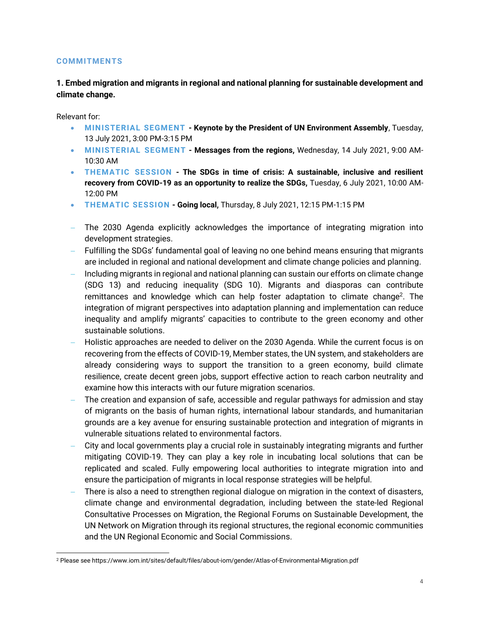#### **COMMITMENTS**

**1. Embed migration and migrants in regional and national planning for sustainable development and climate change.**

Relevant for:

- **MINISTERIAL SEGMENT - Keynote by the President of UN Environment Assembly**, Tuesday, 13 July 2021, 3:00 PM-3:15 PM
- **MINISTERIAL SEGMENT - Messages from the regions,** Wednesday, 14 July 2021, 9:00 AM-10:30 AM
- **THEMATIC SESSION - The SDGs in time of crisis: A sustainable, inclusive and resilient recovery from COVID-19 as an opportunity to realize the SDGs,** Tuesday, 6 July 2021, 10:00 AM-12:00 PM
- **THEMATIC SESSION - Going local,** Thursday, 8 July 2021, 12:15 PM-1:15 PM
- − The 2030 Agenda explicitly acknowledges the importance of integrating migration into development strategies.
- − Fulfilling the SDGs' fundamental goal of leaving no one behind means ensuring that migrants are included in regional and national development and climate change policies and planning.
- − Including migrants in regional and national planning can sustain our efforts on climate change (SDG 13) and reducing inequality (SDG 10). Migrants and diasporas can contribute remittances and knowledge which can help foster adaptation to climate change<sup>2</sup>. The integration of migrant perspectives into adaptation planning and implementation can reduce inequality and amplify migrants' capacities to contribute to the green economy and other sustainable solutions.
- − Holistic approaches are needed to deliver on the 2030 Agenda. While the current focus is on recovering from the effects of COVID-19, Member states, the UN system, and stakeholders are already considering ways to support the transition to a green economy, build climate resilience, create decent green jobs, support effective action to reach carbon neutrality and examine how this interacts with our future migration scenarios.
- The creation and expansion of safe, accessible and regular pathways for admission and stay of migrants on the basis of human rights, international labour standards, and humanitarian grounds are a key avenue for ensuring sustainable protection and integration of migrants in vulnerable situations related to environmental factors.
- − City and local governments play a crucial role in sustainably integrating migrants and further mitigating COVID-19. They can play a key role in incubating local solutions that can be replicated and scaled. Fully empowering local authorities to integrate migration into and ensure the participation of migrants in local response strategies will be helpful.
- There is also a need to strengthen regional dialogue on migration in the context of disasters, climate change and environmental degradation, including between the state-led Regional Consultative Processes on Migration, the Regional Forums on Sustainable Development, the UN Network on Migration through its regional structures, the regional economic communities and the UN Regional Economic and Social Commissions.

<sup>2</sup> Please see https://www.iom.int/sites/default/files/about-iom/gender/Atlas-of-Environmental-Migration.pdf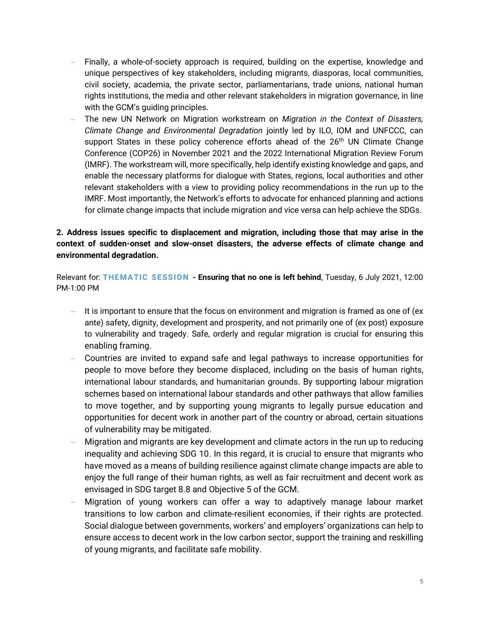- Finally, a whole-of-society approach is required, building on the expertise, knowledge and unique perspectives of key stakeholders, including migrants, diasporas, local communities, civil society, academia, the private sector, parliamentarians, trade unions, national human rights institutions, the media and other relevant stakeholders in migration governance, in line with the GCM's guiding principles.
- − The new UN Network on Migration workstream on *Migration in the Context of Disasters, Climate Change and Environmental Degradation* jointly led by ILO, IOM and UNFCCC, can support States in these policy coherence efforts ahead of the 26<sup>th</sup> UN Climate Change Conference (COP26) in November 2021 and the 2022 International Migration Review Forum (IMRF). The workstream will, more specifically, help identify existing knowledge and gaps, and enable the necessary platforms for dialogue with States, regions, local authorities and other relevant stakeholders with a view to providing policy recommendations in the run up to the IMRF. Most importantly, the Network's efforts to advocate for enhanced planning and actions for climate change impacts that include migration and vice versa can help achieve the SDGs.

# **2. Address issues specific to displacement and migration, including those that may arise in the context of sudden-onset and slow-onset disasters, the adverse effects of climate change and environmental degradation.**

Relevant for: **THEMATIC SESSION - Ensuring that no one is left behind**, Tuesday, 6 July 2021, 12:00 PM-1:00 PM

- − It is important to ensure that the focus on environment and migration is framed as one of (ex ante) safety, dignity, development and prosperity, and not primarily one of (ex post) exposure to vulnerability and tragedy. Safe, orderly and regular migration is crucial for ensuring this enabling framing.
- − Countries are invited to expand safe and legal pathways to increase opportunities for people to move before they become displaced, including on the basis of human rights, international labour standards, and humanitarian grounds. By supporting labour migration schemes based on international labour standards and other pathways that allow families to move together, and by supporting young migrants to legally pursue education and opportunities for decent work in another part of the country or abroad, certain situations of vulnerability may be mitigated.
- − Migration and migrants are key development and climate actors in the run up to reducing inequality and achieving SDG 10. In this regard, it is crucial to ensure that migrants who have moved as a means of building resilience against climate change impacts are able to enjoy the full range of their human rights, as well as fair recruitment and decent work as envisaged in SDG target 8.8 and Objective 5 of the GCM.
- − Migration of young workers can offer a way to adaptively manage labour market transitions to low carbon and climate-resilient economies, if their rights are protected. Social dialogue between governments, workers' and employers' organizations can help to ensure access to decent work in the low carbon sector, support the training and reskilling of young migrants, and facilitate safe mobility.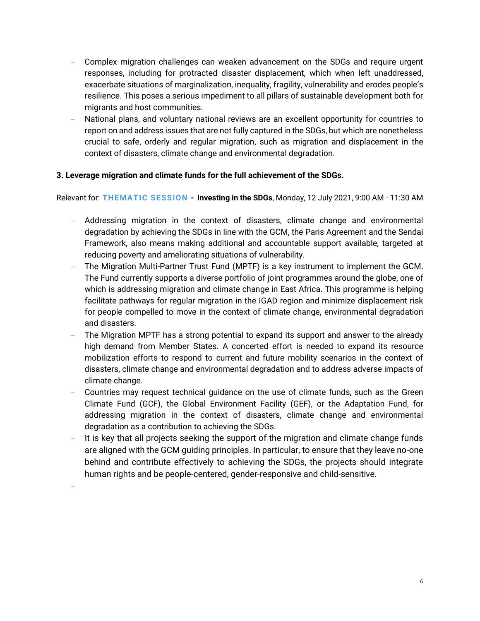- − Complex migration challenges can weaken advancement on the SDGs and require urgent responses, including for protracted disaster displacement, which when left unaddressed, exacerbate situations of marginalization, inequality, fragility, vulnerability and erodes people's resilience. This poses a serious impediment to all pillars of sustainable development both for migrants and host communities.
- − National plans, and voluntary national reviews are an excellent opportunity for countries to report on and address issues that are not fully captured in the SDGs, but which are nonetheless crucial to safe, orderly and regular migration, such as migration and displacement in the context of disasters, climate change and environmental degradation.

## **3. Leverage migration and climate funds for the full achievement of the SDGs.**

Relevant for: **THEMATIC SESSION - Investing in the SDGs**, Monday, 12 July 2021, 9:00 AM - 11:30 AM

- − Addressing migration in the context of disasters, climate change and environmental degradation by achieving the SDGs in line with the GCM, the Paris Agreement and the Sendai Framework, also means making additional and accountable support available, targeted at reducing poverty and ameliorating situations of vulnerability.
- − The Migration Multi-Partner Trust Fund (MPTF) is a key instrument to implement the GCM. The Fund currently supports a diverse portfolio of joint programmes around the globe, one of which is addressing migration and climate change in East Africa. This programme is helping facilitate pathways for regular migration in the IGAD region and minimize displacement risk for people compelled to move in the context of climate change, environmental degradation and disasters.
- The Migration MPTF has a strong potential to expand its support and answer to the already high demand from Member States. A concerted effort is needed to expand its resource mobilization efforts to respond to current and future mobility scenarios in the context of disasters, climate change and environmental degradation and to address adverse impacts of climate change.
- − Countries may request technical guidance on the use of climate funds, such as the Green Climate Fund (GCF), the Global Environment Facility (GEF), or the Adaptation Fund, for addressing migration in the context of disasters, climate change and environmental degradation as a contribution to achieving the SDGs.
- It is key that all projects seeking the support of the migration and climate change funds are aligned with the GCM guiding principles. In particular, to ensure that they leave no-one behind and contribute effectively to achieving the SDGs, the projects should integrate human rights and be people-centered, gender-responsive and child-sensitive.

−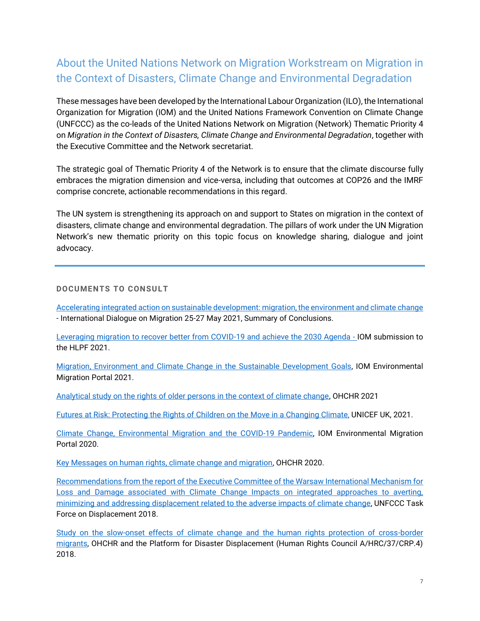# About the United Nations Network on Migration Workstream on Migration in the Context of Disasters, Climate Change and Environmental Degradation

These messages have been developed by the International Labour Organization (ILO), the International Organization for Migration (IOM) and the United Nations Framework Convention on Climate Change (UNFCCC) as the co-leads of the United Nations Network on Migration (Network) Thematic Priority 4 on *Migration in the Context of Disasters, Climate Change and Environmental Degradation*, together with the Executive Committee and the Network secretariat.

The strategic goal of Thematic Priority 4 of the Network is to ensure that the climate discourse fully embraces the migration dimension and vice-versa, including that outcomes at COP26 and the IMRF comprise concrete, actionable recommendations in this regard.

The UN system is strengthening its approach on and support to States on migration in the context of disasters, climate change and environmental degradation. The pillars of work under the UN Migration Network's new thematic priority on this topic focus on knowledge sharing, dialogue and joint advocacy.

# **DOCUMENTS TO CONSULT**

[Accelerating integrated action on sustainable development: migration, the environment and climate change](https://phap.informz.net/phap/data/images/IDM%2025-27%20May%202021%20Summary%20of%20Conclusions.pdf) - International Dialogue on Migration 25-27 May 2021, Summary of Conclusions.

[Leveraging migration to recover better from COVID-19 and achieve the 2030 Agenda -](https://sustainabledevelopment.un.org/content/documents/273032021_IOM_Submission_to_the_HLPF.pdf) IOM submission to the HLPF 2021.

[Migration, Environment and Climate Change in the Sustainable Development Goals,](https://environmentalmigration.iom.int/policy/migration-environment-and-climate-change-sdgs) IOM Environmental Migration Portal 2021.

[Analytical study on the rights of older persons in the context of climate change,](https://undocs.org/A/HRC/47/46) OHCHR 2021

[Futures at Risk: Protecting the Rights of Children on the Move in a Changing Climate,](https://www.unicef.org.uk/futures-at-risk-climate-report/) UNICEF UK, 2021.

[Climate Change, Environmental Migration and the COVID-19 Pandemic,](https://environmentalmigration.iom.int/policy/health-and-migration-environment-and-climate-change) IOM Environmental Migration Portal 2020.

[Key Messages on human rights, climate change and migration,](https://www.ohchr.org/Documents/Issues/ClimateChange/materials/KMMigration.pdf) OHCHR 2020.

Recommendations from the report of [the Executive Committee of the Warsaw International Mechanism for](https://undocs.org/FCCC/CP/2018/10/ADD.1)  [Loss and Damage associated with Climate Change Impacts on integrated approaches to averting,](https://undocs.org/FCCC/CP/2018/10/ADD.1)  [minimizing and addressing displacement related to the adverse impacts of climate change,](https://undocs.org/FCCC/CP/2018/10/ADD.1) UNFCCC Task Force on Displacement 2018.

[Study on the slow-onset effects of climate change and the human rights protection of cross-border](https://www.ohchr.org/Documents/Issues/ClimateChange/SlowOnset/A_HRC_37_CRP_4.pdf)  [migrants,](https://www.ohchr.org/Documents/Issues/ClimateChange/SlowOnset/A_HRC_37_CRP_4.pdf) OHCHR and the Platform for Disaster Displacement (Human Rights Council A/HRC/37/CRP.4) 2018.